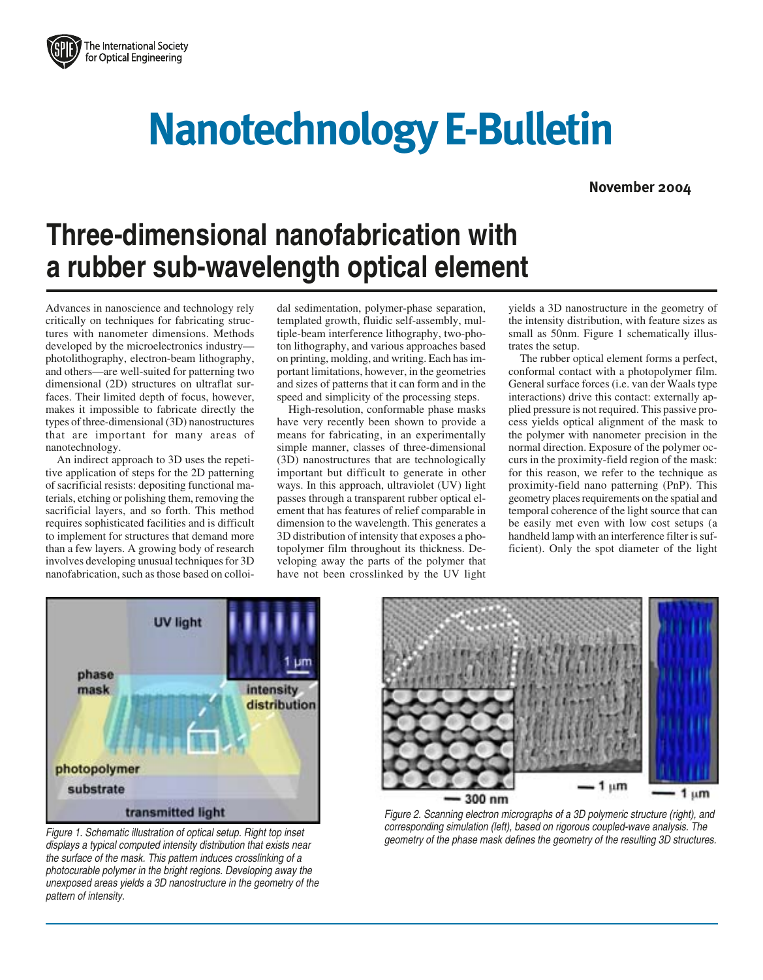

## **Nanotechnology E-Bulletin**

**November 2004**

## **Three-dimensional nanofabrication with a rubber sub-wavelength optical element**

Advances in nanoscience and technology rely critically on techniques for fabricating structures with nanometer dimensions. Methods developed by the microelectronics industry photolithography, electron-beam lithography, and others—are well-suited for patterning two dimensional (2D) structures on ultraflat surfaces. Their limited depth of focus, however, makes it impossible to fabricate directly the types of three-dimensional (3D) nanostructures that are important for many areas of nanotechnology.

An indirect approach to 3D uses the repetitive application of steps for the 2D patterning of sacrificial resists: depositing functional materials, etching or polishing them, removing the sacrificial layers, and so forth. This method requires sophisticated facilities and is difficult to implement for structures that demand more than a few layers. A growing body of research involves developing unusual techniques for 3D nanofabrication, such as those based on colloi-

dal sedimentation, polymer-phase separation, templated growth, fluidic self-assembly, multiple-beam interference lithography, two-photon lithography, and various approaches based on printing, molding, and writing. Each has important limitations, however, in the geometries and sizes of patterns that it can form and in the speed and simplicity of the processing steps.

High-resolution, conformable phase masks have very recently been shown to provide a means for fabricating, in an experimentally simple manner, classes of three-dimensional (3D) nanostructures that are technologically important but difficult to generate in other ways. In this approach, ultraviolet (UV) light passes through a transparent rubber optical element that has features of relief comparable in dimension to the wavelength. This generates a 3D distribution of intensity that exposes a photopolymer film throughout its thickness. Developing away the parts of the polymer that have not been crosslinked by the UV light

yields a 3D nanostructure in the geometry of the intensity distribution, with feature sizes as small as 50nm. Figure 1 schematically illustrates the setup.

The rubber optical element forms a perfect, conformal contact with a photopolymer film. General surface forces (i.e. van der Waals type interactions) drive this contact: externally applied pressure is not required. This passive process yields optical alignment of the mask to the polymer with nanometer precision in the normal direction. Exposure of the polymer occurs in the proximity-field region of the mask: for this reason, we refer to the technique as proximity-field nano patterning (PnP). This geometry places requirements on the spatial and temporal coherence of the light source that can be easily met even with low cost setups (a handheld lamp with an interference filter is sufficient). Only the spot diameter of the light



Figure 1. Schematic illustration of optical setup. Right top inset displays a typical computed intensity distribution that exists near the surface of the mask. This pattern induces crosslinking of a photocurable polymer in the bright regions. Developing away the unexposed areas yields a 3D nanostructure in the geometry of the pattern of intensity.



Figure 2. Scanning electron micrographs of a 3D polymeric structure (right), and corresponding simulation (left), based on rigorous coupled-wave analysis. The geometry of the phase mask defines the geometry of the resulting 3D structures.